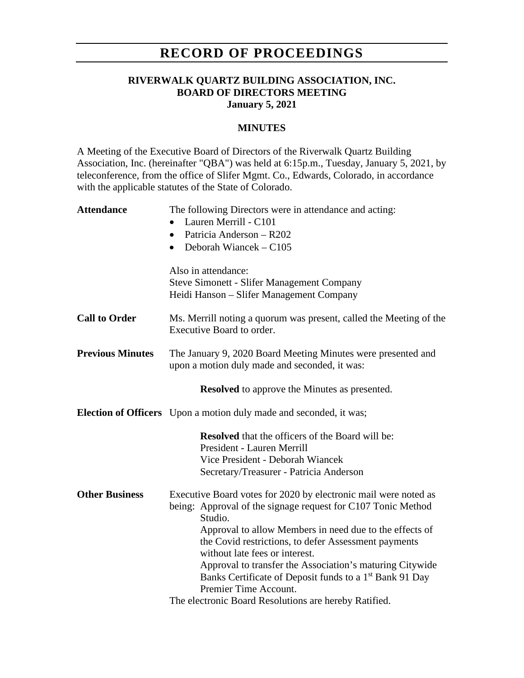# **RECORD OF PROCEEDINGS**

## **RIVERWALK QUARTZ BUILDING ASSOCIATION, INC. BOARD OF DIRECTORS MEETING January 5, 2021**

#### **MINUTES**

A Meeting of the Executive Board of Directors of the Riverwalk Quartz Building Association, Inc. (hereinafter "QBA") was held at 6:15p.m., Tuesday, January 5, 2021, by teleconference, from the office of Slifer Mgmt. Co., Edwards, Colorado, in accordance with the applicable statutes of the State of Colorado.

| <b>Attendance</b>       | The following Directors were in attendance and acting:                                                        |
|-------------------------|---------------------------------------------------------------------------------------------------------------|
|                         | Lauren Merrill - C101                                                                                         |
|                         | Patricia Anderson - R202<br>$\bullet$                                                                         |
|                         | • Deborah Wiancek $-$ C105                                                                                    |
|                         | Also in attendance:                                                                                           |
|                         | <b>Steve Simonett - Slifer Management Company</b>                                                             |
|                         | Heidi Hanson - Slifer Management Company                                                                      |
| <b>Call to Order</b>    | Ms. Merrill noting a quorum was present, called the Meeting of the<br>Executive Board to order.               |
| <b>Previous Minutes</b> | The January 9, 2020 Board Meeting Minutes were presented and<br>upon a motion duly made and seconded, it was: |
|                         | <b>Resolved</b> to approve the Minutes as presented.                                                          |
|                         | Election of Officers Upon a motion duly made and seconded, it was;                                            |
|                         | <b>Resolved</b> that the officers of the Board will be:                                                       |
|                         | President - Lauren Merrill                                                                                    |
|                         | Vice President - Deborah Wiancek                                                                              |
|                         | Secretary/Treasurer - Patricia Anderson                                                                       |
| <b>Other Business</b>   | Executive Board votes for 2020 by electronic mail were noted as                                               |
|                         | being: Approval of the signage request for C107 Tonic Method<br>Studio.                                       |
|                         | Approval to allow Members in need due to the effects of                                                       |
|                         | the Covid restrictions, to defer Assessment payments<br>without late fees or interest.                        |
|                         | Approval to transfer the Association's maturing Citywide                                                      |
|                         | Banks Certificate of Deposit funds to a 1 <sup>st</sup> Bank 91 Day                                           |
|                         | Premier Time Account.                                                                                         |
|                         | The electronic Board Resolutions are hereby Ratified.                                                         |